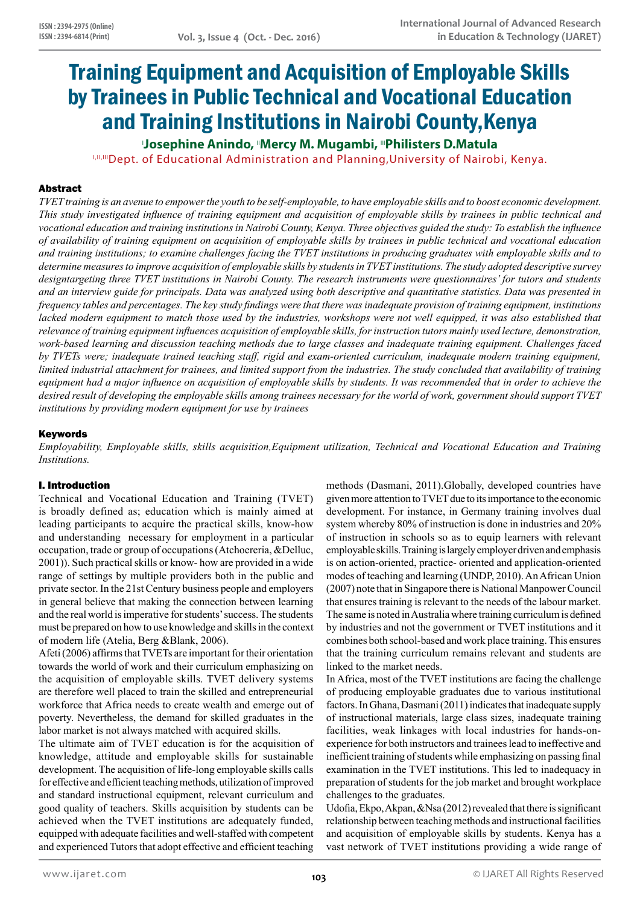# Training Equipment and Acquisition of Employable Skills by Trainees in Public Technical and Vocational Education and Training Institutions in Nairobi County,Kenya

I **Josephine Anindo,** II**Mercy M. Mugambi,** III**Philisters D.Matula**

I,III,IIII Dept. of Educational Administration and Planning, University of Nairobi, Kenya.

# Abstract

*TVET training is an avenue to empower the youth to be self-employable, to have employable skills and to boost economic development. This study investigated influence of training equipment and acquisition of employable skills by trainees in public technical and vocational education and training institutions in Nairobi County, Kenya. Three objectives guided the study: To establish the influence of availability of training equipment on acquisition of employable skills by trainees in public technical and vocational education and training institutions; to examine challenges facing the TVET institutions in producing graduates with employable skills and to determine measures to improve acquisition of employable skills by students in TVET institutions. The study adopted descriptive survey designtargeting three TVET institutions in Nairobi County. The research instruments were questionnaires' for tutors and students and an interview guide for principals. Data was analyzed using both descriptive and quantitative statistics. Data was presented in frequency tables and percentages. The key study findings were that there was inadequate provision of training equipment, institutions*  lacked modern equipment to match those used by the industries, workshops were not well equipped, it was also established that *relevance of training equipment influences acquisition of employable skills, for instruction tutors mainly used lecture, demonstration, work-based learning and discussion teaching methods due to large classes and inadequate training equipment. Challenges faced by TVETs were; inadequate trained teaching staff, rigid and exam-oriented curriculum, inadequate modern training equipment, limited industrial attachment for trainees, and limited support from the industries. The study concluded that availability of training equipment had a major influence on acquisition of employable skills by students. It was recommended that in order to achieve the desired result of developing the employable skills among trainees necessary for the world of work, government should support TVET institutions by providing modern equipment for use by trainees*

# Keywords

*Employability, Employable skills, skills acquisition,Equipment utilization, Technical and Vocational Education and Training Institutions.*

## I. Introduction

Technical and Vocational Education and Training (TVET) is broadly defined as; education which is mainly aimed at leading participants to acquire the practical skills, know-how and understanding necessary for employment in a particular occupation, trade or group of occupations (Atchoereria, &Delluc, 2001)). Such practical skills or know- how are provided in a wide range of settings by multiple providers both in the public and private sector. In the 21st Century business people and employers in general believe that making the connection between learning and the real world is imperative for students' success. The students must be prepared on how to use knowledge and skills in the context of modern life (Atelia, Berg &Blank, 2006).

Afeti (2006) affirms that TVETs are important for their orientation towards the world of work and their curriculum emphasizing on the acquisition of employable skills. TVET delivery systems are therefore well placed to train the skilled and entrepreneurial workforce that Africa needs to create wealth and emerge out of poverty. Nevertheless, the demand for skilled graduates in the labor market is not always matched with acquired skills.

The ultimate aim of TVET education is for the acquisition of knowledge, attitude and employable skills for sustainable development. The acquisition of life-long employable skills calls for effective and efficient teaching methods, utilization of improved and standard instructional equipment, relevant curriculum and good quality of teachers. Skills acquisition by students can be achieved when the TVET institutions are adequately funded, equipped with adequate facilities and well-staffed with competent and experienced Tutors that adopt effective and efficient teaching

methods (Dasmani, 2011).Globally, developed countries have given more attention to TVET due to its importance to the economic development. For instance, in Germany training involves dual system whereby 80% of instruction is done in industries and 20% of instruction in schools so as to equip learners with relevant employable skills. Training is largely employer driven and emphasis is on action-oriented, practice- oriented and application-oriented modes of teaching and learning (UNDP, 2010). An African Union (2007) note that in Singapore there is National Manpower Council that ensures training is relevant to the needs of the labour market. The same is noted in Australia where training curriculum is defined by industries and not the government or TVET institutions and it combines both school-based and work place training. This ensures that the training curriculum remains relevant and students are linked to the market needs.

In Africa, most of the TVET institutions are facing the challenge of producing employable graduates due to various institutional factors. In Ghana, Dasmani (2011) indicates that inadequate supply of instructional materials, large class sizes, inadequate training facilities, weak linkages with local industries for hands-onexperience for both instructors and trainees lead to ineffective and inefficient training of students while emphasizing on passing final examination in the TVET institutions. This led to inadequacy in preparation of students for the job market and brought workplace challenges to the graduates.

Udofia, Ekpo, Akpan, &Nsa (2012) revealed that there is significant relationship between teaching methods and instructional facilities and acquisition of employable skills by students. Kenya has a vast network of TVET institutions providing a wide range of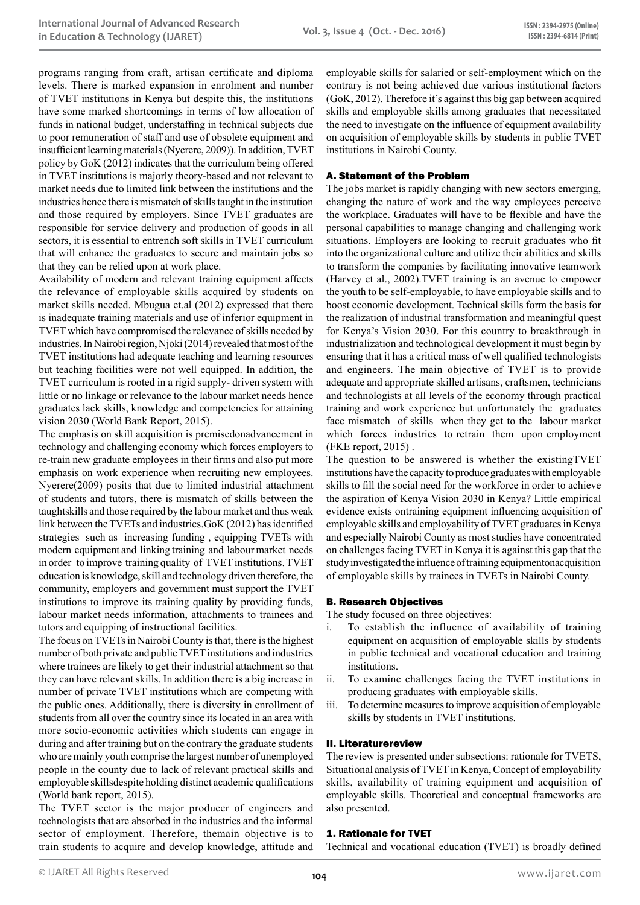programs ranging from craft, artisan certificate and diploma levels. There is marked expansion in enrolment and number of TVET institutions in Kenya but despite this, the institutions have some marked shortcomings in terms of low allocation of funds in national budget, understaffing in technical subjects due to poor remuneration of staff and use of obsolete equipment and insufficient learning materials (Nyerere, 2009)). In addition, TVET policy by GoK (2012) indicates that the curriculum being offered in TVET institutions is majorly theory-based and not relevant to market needs due to limited link between the institutions and the industries hence there is mismatch of skills taught in the institution and those required by employers. Since TVET graduates are responsible for service delivery and production of goods in all sectors, it is essential to entrench soft skills in TVET curriculum that will enhance the graduates to secure and maintain jobs so that they can be relied upon at work place.

Availability of modern and relevant training equipment affects the relevance of employable skills acquired by students on market skills needed. Mbugua et.al (2012) expressed that there is inadequate training materials and use of inferior equipment in TVET which have compromised the relevance of skills needed by industries. In Nairobi region, Njoki (2014) revealed that most of the TVET institutions had adequate teaching and learning resources but teaching facilities were not well equipped. In addition, the TVET curriculum is rooted in a rigid supply- driven system with little or no linkage or relevance to the labour market needs hence graduates lack skills, knowledge and competencies for attaining vision 2030 (World Bank Report, 2015).

The emphasis on skill acquisition is premisedonadvancement in technology and challenging economy which forces employers to re-train new graduate employees in their firms and also put more emphasis on work experience when recruiting new employees. Nyerere(2009) posits that due to limited industrial attachment of students and tutors, there is mismatch of skills between the taughtskills and those required by the labour market and thus weak link between the TVETs and industries.GoK (2012) has identified strategies such as increasing funding , equipping TVETs with modern equipment and linking training and labour market needs in order to improve training quality of TVET institutions. TVET education is knowledge, skill and technology driven therefore, the community, employers and government must support the TVET institutions to improve its training quality by providing funds, labour market needs information, attachments to trainees and tutors and equipping of instructional facilities.

The focus on TVETs in Nairobi County is that, there is the highest number of both private and public TVET institutions and industries where trainees are likely to get their industrial attachment so that they can have relevant skills. In addition there is a big increase in number of private TVET institutions which are competing with the public ones. Additionally, there is diversity in enrollment of students from all over the country since its located in an area with more socio-economic activities which students can engage in during and after training but on the contrary the graduate students who are mainly youth comprise the largest number of unemployed people in the county due to lack of relevant practical skills and employable skillsdespite holding distinct academic qualifications (World bank report, 2015).

The TVET sector is the major producer of engineers and technologists that are absorbed in the industries and the informal sector of employment. Therefore, themain objective is to train students to acquire and develop knowledge, attitude and employable skills for salaried or self-employment which on the contrary is not being achieved due various institutional factors (GoK, 2012). Therefore it's against this big gap between acquired skills and employable skills among graduates that necessitated the need to investigate on the influence of equipment availability on acquisition of employable skills by students in public TVET institutions in Nairobi County.

## A. Statement of the Problem

The jobs market is rapidly changing with new sectors emerging, changing the nature of work and the way employees perceive the workplace. Graduates will have to be flexible and have the personal capabilities to manage changing and challenging work situations. Employers are looking to recruit graduates who fit into the organizational culture and utilize their abilities and skills to transform the companies by facilitating innovative teamwork (Harvey et al., 2002).TVET training is an avenue to empower the youth to be self-employable, to have employable skills and to boost economic development. Technical skills form the basis for the realization of industrial transformation and meaningful quest for Kenya's Vision 2030. For this country to breakthrough in industrialization and technological development it must begin by ensuring that it has a critical mass of well qualified technologists and engineers. The main objective of TVET is to provide adequate and appropriate skilled artisans, craftsmen, technicians and technologists at all levels of the economy through practical training and work experience but unfortunately the graduates face mismatch of skills when they get to the labour market which forces industries to retrain them upon employment (FKE report, 2015) .

The question to be answered is whether the existingTVET institutions have the capacity to produce graduates with employable skills to fill the social need for the workforce in order to achieve the aspiration of Kenya Vision 2030 in Kenya? Little empirical evidence exists ontraining equipment influencing acquisition of employable skills and employability of TVET graduates in Kenya and especially Nairobi County as most studies have concentrated on challenges facing TVET in Kenya it is against this gap that the study investigated the influence of training equipmentonacquisition of employable skills by trainees in TVETs in Nairobi County.

## B. Research Objectives

The study focused on three objectives:

- i. To establish the influence of availability of training equipment on acquisition of employable skills by students in public technical and vocational education and training institutions.
- ii. To examine challenges facing the TVET institutions in producing graduates with employable skills.
- iii. To determine measures to improve acquisition of employable skills by students in TVET institutions.

## II. Literaturereview

The review is presented under subsections: rationale for TVETS, Situational analysis of TVET in Kenya, Concept of employability skills, availability of training equipment and acquisition of employable skills. Theoretical and conceptual frameworks are also presented.

## 1. Rationale for TVET

Technical and vocational education (TVET) is broadly defined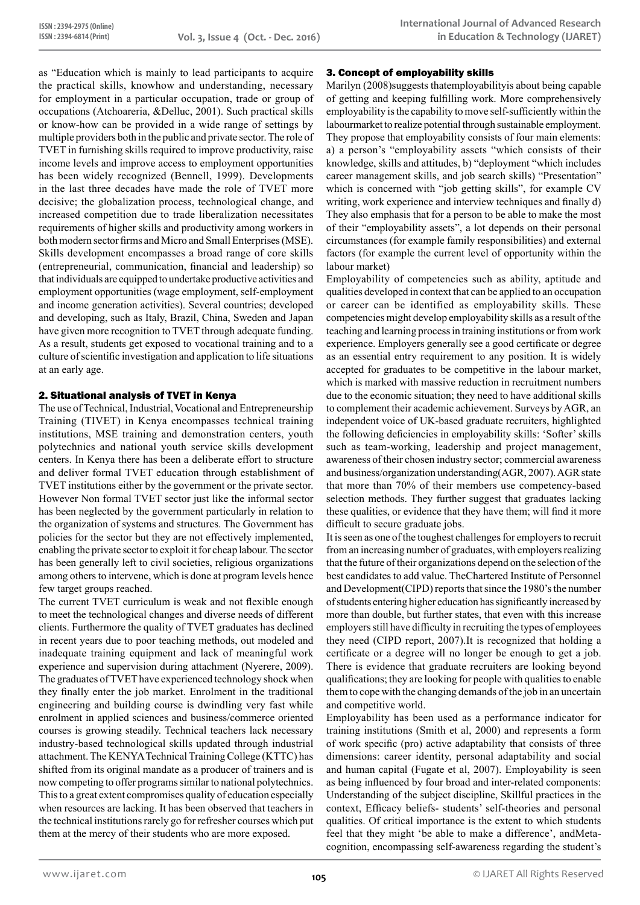as "Education which is mainly to lead participants to acquire the practical skills, knowhow and understanding, necessary for employment in a particular occupation, trade or group of occupations (Atchoareria, &Delluc, 2001). Such practical skills or know-how can be provided in a wide range of settings by multiple providers both in the public and private sector. The role of TVET in furnishing skills required to improve productivity, raise income levels and improve access to employment opportunities has been widely recognized (Bennell, 1999). Developments in the last three decades have made the role of TVET more decisive; the globalization process, technological change, and increased competition due to trade liberalization necessitates requirements of higher skills and productivity among workers in both modern sector firms and Micro and Small Enterprises (MSE). Skills development encompasses a broad range of core skills (entrepreneurial, communication, financial and leadership) so that individuals are equipped to undertake productive activities and employment opportunities (wage employment, self-employment and income generation activities). Several countries; developed and developing, such as Italy, Brazil, China, Sweden and Japan have given more recognition to TVET through adequate funding. As a result, students get exposed to vocational training and to a culture of scientific investigation and application to life situations at an early age.

# 2. Situational analysis of TVET in Kenya

The use of Technical, Industrial, Vocational and Entrepreneurship Training (TIVET) in Kenya encompasses technical training institutions, MSE training and demonstration centers, youth polytechnics and national youth service skills development centers. In Kenya there has been a deliberate effort to structure and deliver formal TVET education through establishment of TVET institutions either by the government or the private sector. However Non formal TVET sector just like the informal sector has been neglected by the government particularly in relation to the organization of systems and structures. The Government has policies for the sector but they are not effectively implemented, enabling the private sector to exploit it for cheap labour. The sector has been generally left to civil societies, religious organizations among others to intervene, which is done at program levels hence few target groups reached.

The current TVET curriculum is weak and not flexible enough to meet the technological changes and diverse needs of different clients. Furthermore the quality of TVET graduates has declined in recent years due to poor teaching methods, out modeled and inadequate training equipment and lack of meaningful work experience and supervision during attachment (Nyerere, 2009). The graduates of TVET have experienced technology shock when they finally enter the job market. Enrolment in the traditional engineering and building course is dwindling very fast while enrolment in applied sciences and business/commerce oriented courses is growing steadily. Technical teachers lack necessary industry-based technological skills updated through industrial attachment. The KENYA Technical Training College (KTTC) has shifted from its original mandate as a producer of trainers and is now competing to offer programs similar to national polytechnics. This to a great extent compromises quality of education especially when resources are lacking. It has been observed that teachers in the technical institutions rarely go for refresher courses which put them at the mercy of their students who are more exposed.

# 3. Concept of employability skills

Marilyn (2008)suggests thatemployabilityis about being capable of getting and keeping fulfilling work. More comprehensively employability is the capability to move self-sufficiently within the labourmarket to realize potential through sustainable employment. They propose that employability consists of four main elements: a) a person's "employability assets "which consists of their knowledge, skills and attitudes, b) "deployment "which includes career management skills, and job search skills) "Presentation" which is concerned with "job getting skills", for example CV writing, work experience and interview techniques and finally d) They also emphasis that for a person to be able to make the most of their "employability assets", a lot depends on their personal circumstances (for example family responsibilities) and external factors (for example the current level of opportunity within the labour market)

Employability of competencies such as ability, aptitude and qualities developed in context that can be applied to an occupation or career can be identified as employability skills. These competencies might develop employability skills as a result of the teaching and learning process in training institutions or from work experience. Employers generally see a good certificate or degree as an essential entry requirement to any position. It is widely accepted for graduates to be competitive in the labour market, which is marked with massive reduction in recruitment numbers due to the economic situation; they need to have additional skills to complement their academic achievement. Surveys by AGR, an independent voice of UK-based graduate recruiters, highlighted the following deficiencies in employability skills: 'Softer' skills such as team-working, leadership and project management, awareness of their chosen industry sector; commercial awareness and business/organization understanding(AGR, 2007). AGR state that more than 70% of their members use competency-based selection methods. They further suggest that graduates lacking these qualities, or evidence that they have them; will find it more difficult to secure graduate jobs.

It is seen as one of the toughest challenges for employers to recruit from an increasing number of graduates, with employers realizing that the future of their organizations depend on the selection of the best candidates to add value. TheChartered Institute of Personnel and Development(CIPD) reports that since the 1980's the number of students entering higher education has significantly increased by more than double, but further states, that even with this increase employers still have difficulty in recruiting the types of employees they need (CIPD report, 2007).It is recognized that holding a certificate or a degree will no longer be enough to get a job. There is evidence that graduate recruiters are looking beyond qualifications; they are looking for people with qualities to enable them to cope with the changing demands of the job in an uncertain and competitive world.

Employability has been used as a performance indicator for training institutions (Smith et al, 2000) and represents a form of work specific (pro) active adaptability that consists of three dimensions: career identity, personal adaptability and social and human capital (Fugate et al, 2007). Employability is seen as being influenced by four broad and inter-related components: Understanding of the subject discipline, Skillful practices in the context, Efficacy beliefs- students' self-theories and personal qualities. Of critical importance is the extent to which students feel that they might 'be able to make a difference', andMetacognition, encompassing self-awareness regarding the student's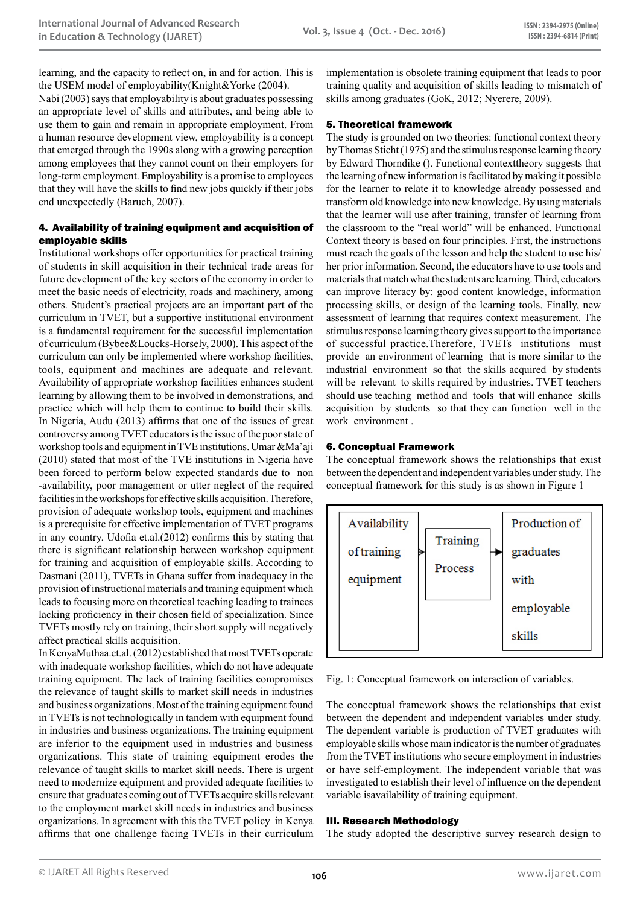learning, and the capacity to reflect on, in and for action. This is the USEM model of employability(Knight&Yorke (2004).

Nabi (2003) says that employability is about graduates possessing an appropriate level of skills and attributes, and being able to use them to gain and remain in appropriate employment. From a human resource development view, employability is a concept that emerged through the 1990s along with a growing perception among employees that they cannot count on their employers for long-term employment. Employability is a promise to employees that they will have the skills to find new jobs quickly if their jobs end unexpectedly (Baruch, 2007).

# 4. Availability of training equipment and acquisition of employable skills

Institutional workshops offer opportunities for practical training of students in skill acquisition in their technical trade areas for future development of the key sectors of the economy in order to meet the basic needs of electricity, roads and machinery, among others. Student's practical projects are an important part of the curriculum in TVET, but a supportive institutional environment is a fundamental requirement for the successful implementation of curriculum (Bybee&Loucks-Horsely, 2000). This aspect of the curriculum can only be implemented where workshop facilities, tools, equipment and machines are adequate and relevant. Availability of appropriate workshop facilities enhances student learning by allowing them to be involved in demonstrations, and practice which will help them to continue to build their skills. In Nigeria, Audu (2013) affirms that one of the issues of great controversy among TVET educators is the issue of the poor state of workshop tools and equipment in TVE institutions. Umar &Ma'aji (2010) stated that most of the TVE institutions in Nigeria have been forced to perform below expected standards due to non -availability, poor management or utter neglect of the required facilities in the workshops for effective skills acquisition. Therefore, provision of adequate workshop tools, equipment and machines is a prerequisite for effective implementation of TVET programs in any country. Udofia et.al.(2012) confirms this by stating that there is significant relationship between workshop equipment for training and acquisition of employable skills. According to Dasmani (2011), TVETs in Ghana suffer from inadequacy in the provision of instructional materials and training equipment which leads to focusing more on theoretical teaching leading to trainees lacking proficiency in their chosen field of specialization. Since TVETs mostly rely on training, their short supply will negatively affect practical skills acquisition.

In KenyaMuthaa.et.al. (2012) established that most TVETs operate with inadequate workshop facilities, which do not have adequate training equipment. The lack of training facilities compromises the relevance of taught skills to market skill needs in industries and business organizations. Most of the training equipment found in TVETs is not technologically in tandem with equipment found in industries and business organizations. The training equipment are inferior to the equipment used in industries and business organizations. This state of training equipment erodes the relevance of taught skills to market skill needs. There is urgent need to modernize equipment and provided adequate facilities to ensure that graduates coming out of TVETs acquire skills relevant to the employment market skill needs in industries and business organizations. In agreement with this the TVET policy in Kenya affirms that one challenge facing TVETs in their curriculum

implementation is obsolete training equipment that leads to poor training quality and acquisition of skills leading to mismatch of skills among graduates (GoK, 2012; Nyerere, 2009).

# 5. Theoretical framework

The study is grounded on two theories: functional context theory by Thomas Sticht (1975) and the stimulus response learning theory by Edward Thorndike (). Functional contexttheory suggests that the learning of new information is facilitated by making it possible for the learner to relate it to knowledge already possessed and transform old knowledge into new knowledge. By using materials that the learner will use after training, transfer of learning from the classroom to the "real world" will be enhanced. Functional Context theory is based on four principles. First, the instructions must reach the goals of the lesson and help the student to use his/ her prior information. Second, the educators have to use tools and materials that match what the students are learning. Third, educators can improve literacy by: good content knowledge, information processing skills, or design of the learning tools. Finally, new assessment of learning that requires context measurement. The stimulus response learning theory gives support to the importance of successful practice.Therefore, TVETs institutions must provide an environment of learning that is more similar to the industrial environment so that the skills acquired by students will be relevant to skills required by industries. TVET teachers should use teaching method and tools that will enhance skills acquisition by students so that they can function well in the work environment .

## 6. Conceptual Framework

The conceptual framework shows the relationships that exist between the dependent and independent variables under study. The conceptual framework for this study is as shown in Figure 1



Fig. 1: Conceptual framework on interaction of variables.

The conceptual framework shows the relationships that exist between the dependent and independent variables under study. The dependent variable is production of TVET graduates with employable skills whose main indicator is the number of graduates from the TVET institutions who secure employment in industries or have self-employment. The independent variable that was investigated to establish their level of influence on the dependent variable isavailability of training equipment.

## III. Research Methodology

The study adopted the descriptive survey research design to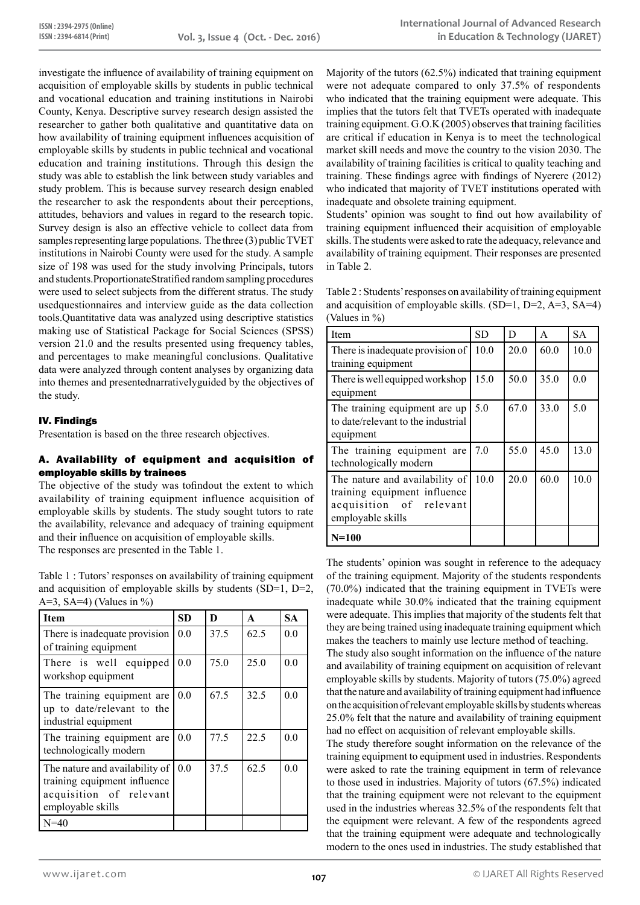investigate the influence of availability of training equipment on acquisition of employable skills by students in public technical and vocational education and training institutions in Nairobi County, Kenya. Descriptive survey research design assisted the researcher to gather both qualitative and quantitative data on how availability of training equipment influences acquisition of employable skills by students in public technical and vocational education and training institutions. Through this design the study was able to establish the link between study variables and study problem. This is because survey research design enabled the researcher to ask the respondents about their perceptions, attitudes, behaviors and values in regard to the research topic. Survey design is also an effective vehicle to collect data from samples representing large populations. The three (3) public TVET institutions in Nairobi County were used for the study. A sample size of 198 was used for the study involving Principals, tutors and students.ProportionateStratified random sampling procedures were used to select subjects from the different stratus. The study usedquestionnaires and interview guide as the data collection tools.Quantitative data was analyzed using descriptive statistics making use of Statistical Package for Social Sciences (SPSS) version 21.0 and the results presented using frequency tables, and percentages to make meaningful conclusions. Qualitative data were analyzed through content analyses by organizing data into themes and presentednarrativelyguided by the objectives of the study.

# IV. Findings

Presentation is based on the three research objectives.

## A. Availability of equipment and acquisition of employable skills by trainees

The objective of the study was tofindout the extent to which availability of training equipment influence acquisition of employable skills by students. The study sought tutors to rate the availability, relevance and adequacy of training equipment and their influence on acquisition of employable skills. The responses are presented in the Table 1.

Table 1 : Tutors' responses on availability of training equipment and acquisition of employable skills by students (SD=1, D=2, A=3, SA=4) (Values in  $\%$ )

| <b>Item</b>                                                                                                    | SD  | D    | A    | <b>SA</b> |
|----------------------------------------------------------------------------------------------------------------|-----|------|------|-----------|
| There is inadequate provision<br>of training equipment                                                         | 0.0 | 37.5 | 62.5 | 0.0       |
| There is well equipped<br>workshop equipment                                                                   | 0.0 | 75.0 | 25.0 | 0.0       |
| The training equipment are.<br>up to date/relevant to the<br>industrial equipment                              | 0.0 | 67.5 | 32.5 | 0.0       |
| The training equipment are<br>technologically modern                                                           | 0.0 | 77.5 | 22.5 | 0.0       |
| The nature and availability of<br>training equipment influence<br>acquisition of relevant<br>employable skills | 0.0 | 37.5 | 62.5 | 0.0       |
| $N = 40$                                                                                                       |     |      |      |           |

Majority of the tutors (62.5%) indicated that training equipment were not adequate compared to only 37.5% of respondents who indicated that the training equipment were adequate. This implies that the tutors felt that TVETs operated with inadequate training equipment. G.O.K (2005) observes that training facilities are critical if education in Kenya is to meet the technological market skill needs and move the country to the vision 2030. The availability of training facilities is critical to quality teaching and training. These findings agree with findings of Nyerere (2012) who indicated that majority of TVET institutions operated with inadequate and obsolete training equipment.

Students' opinion was sought to find out how availability of training equipment influenced their acquisition of employable skills. The students were asked to rate the adequacy, relevance and availability of training equipment. Their responses are presented in Table 2.

Table 2 : Students' responses on availability of training equipment and acquisition of employable skills.  $(SD=1, D=2, A=3, SA=4)$ (Values in %)

| Item                                                                                                           | <b>SD</b> | D    | A    | <b>SA</b> |
|----------------------------------------------------------------------------------------------------------------|-----------|------|------|-----------|
| There is inadequate provision of<br>training equipment                                                         | 10.0      | 20.0 | 60.0 | 10.0      |
| There is well equipped workshop<br>equipment                                                                   | 15.0      | 50.0 | 35.0 | 0.0       |
| The training equipment are up<br>to date/relevant to the industrial<br>equipment                               | 5.0       | 67.0 | 33.0 | 5.0       |
| The training equipment are<br>technologically modern                                                           | 7.0       | 55.0 | 45.0 | 13.0      |
| The nature and availability of<br>training equipment influence<br>acquisition of relevant<br>employable skills | 10.0      | 20.0 | 60.0 | 10.0      |
| $N=100$                                                                                                        |           |      |      |           |

The students' opinion was sought in reference to the adequacy of the training equipment. Majority of the students respondents (70.0%) indicated that the training equipment in TVETs were inadequate while 30.0% indicated that the training equipment were adequate. This implies that majority of the students felt that they are being trained using inadequate training equipment which makes the teachers to mainly use lecture method of teaching.

The study also sought information on the influence of the nature and availability of training equipment on acquisition of relevant employable skills by students. Majority of tutors (75.0%) agreed that the nature and availability of training equipment had influence on the acquisition of relevant employable skills by students whereas 25.0% felt that the nature and availability of training equipment had no effect on acquisition of relevant employable skills.

The study therefore sought information on the relevance of the training equipment to equipment used in industries. Respondents were asked to rate the training equipment in term of relevance to those used in industries. Majority of tutors (67.5%) indicated that the training equipment were not relevant to the equipment used in the industries whereas 32.5% of the respondents felt that the equipment were relevant. A few of the respondents agreed that the training equipment were adequate and technologically modern to the ones used in industries. The study established that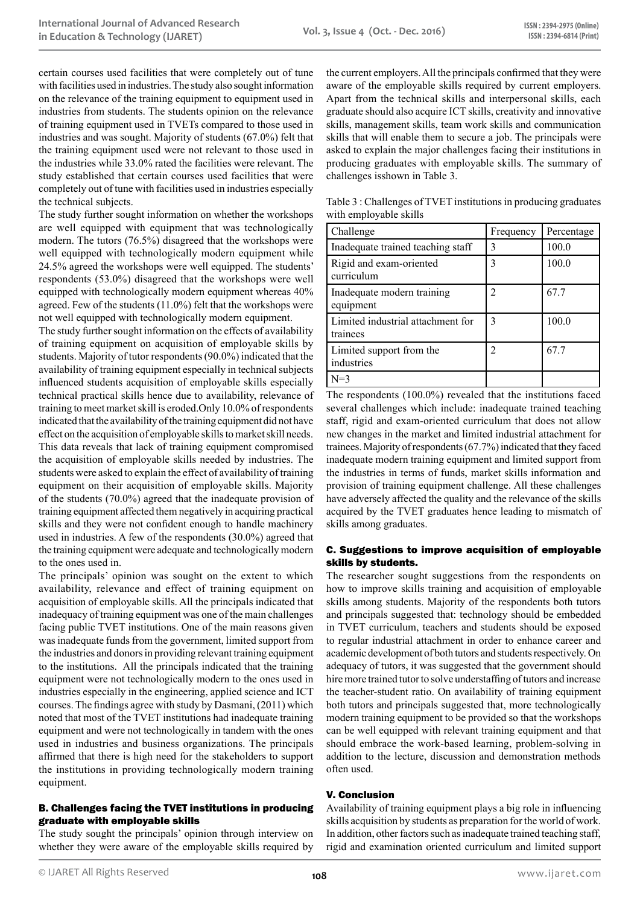certain courses used facilities that were completely out of tune with facilities used in industries. The study also sought information on the relevance of the training equipment to equipment used in industries from students. The students opinion on the relevance of training equipment used in TVETs compared to those used in industries and was sought. Majority of students (67.0%) felt that the training equipment used were not relevant to those used in the industries while 33.0% rated the facilities were relevant. The study established that certain courses used facilities that were completely out of tune with facilities used in industries especially the technical subjects.

The study further sought information on whether the workshops are well equipped with equipment that was technologically modern. The tutors (76.5%) disagreed that the workshops were well equipped with technologically modern equipment while 24.5% agreed the workshops were well equipped. The students' respondents (53.0%) disagreed that the workshops were well equipped with technologically modern equipment whereas 40% agreed. Few of the students (11.0%) felt that the workshops were not well equipped with technologically modern equipment.

The study further sought information on the effects of availability of training equipment on acquisition of employable skills by students. Majority of tutor respondents (90.0%) indicated that the availability of training equipment especially in technical subjects influenced students acquisition of employable skills especially technical practical skills hence due to availability, relevance of training to meet market skill is eroded.Only 10.0% of respondents indicated that the availability of the training equipment did not have effect on the acquisition of employable skills to market skill needs. This data reveals that lack of training equipment compromised the acquisition of employable skills needed by industries. The students were asked to explain the effect of availability of training equipment on their acquisition of employable skills. Majority of the students (70.0%) agreed that the inadequate provision of training equipment affected them negatively in acquiring practical skills and they were not confident enough to handle machinery used in industries. A few of the respondents (30.0%) agreed that the training equipment were adequate and technologically modern to the ones used in.

The principals' opinion was sought on the extent to which availability, relevance and effect of training equipment on acquisition of employable skills. All the principals indicated that inadequacy of training equipment was one of the main challenges facing public TVET institutions. One of the main reasons given was inadequate funds from the government, limited support from the industries and donors in providing relevant training equipment to the institutions. All the principals indicated that the training equipment were not technologically modern to the ones used in industries especially in the engineering, applied science and ICT courses. The findings agree with study by Dasmani, (2011) which noted that most of the TVET institutions had inadequate training equipment and were not technologically in tandem with the ones used in industries and business organizations. The principals affirmed that there is high need for the stakeholders to support the institutions in providing technologically modern training equipment.

# B. Challenges facing the TVET institutions in producing graduate with employable skills

The study sought the principals' opinion through interview on whether they were aware of the employable skills required by

the current employers. All the principals confirmed that they were aware of the employable skills required by current employers. Apart from the technical skills and interpersonal skills, each graduate should also acquire ICT skills, creativity and innovative skills, management skills, team work skills and communication skills that will enable them to secure a job. The principals were asked to explain the major challenges facing their institutions in producing graduates with employable skills. The summary of challenges isshown in Table 3.

Table 3 : Challenges of TVET institutions in producing graduates with employable skills

| Challenge                                     | Frequency     | Percentage |
|-----------------------------------------------|---------------|------------|
| Inadequate trained teaching staff             | $\mathcal{E}$ | 100.0      |
| Rigid and exam-oriented<br>curriculum         | 3             | 100.0      |
| Inadequate modern training<br>equipment       | 2             | 67.7       |
| Limited industrial attachment for<br>trainees | $\mathbf{3}$  | 100.0      |
| Limited support from the<br>industries        | 2             | 67.7       |
| $N=3$                                         |               |            |

The respondents (100.0%) revealed that the institutions faced several challenges which include: inadequate trained teaching staff, rigid and exam-oriented curriculum that does not allow new changes in the market and limited industrial attachment for trainees. Majority of respondents (67.7%) indicated that they faced inadequate modern training equipment and limited support from the industries in terms of funds, market skills information and provision of training equipment challenge. All these challenges have adversely affected the quality and the relevance of the skills acquired by the TVET graduates hence leading to mismatch of skills among graduates.

## C. Suggestions to improve acquisition of employable skills by students.

The researcher sought suggestions from the respondents on how to improve skills training and acquisition of employable skills among students. Majority of the respondents both tutors and principals suggested that: technology should be embedded in TVET curriculum, teachers and students should be exposed to regular industrial attachment in order to enhance career and academic development of both tutors and students respectively. On adequacy of tutors, it was suggested that the government should hire more trained tutor to solve understaffing of tutors and increase the teacher-student ratio. On availability of training equipment both tutors and principals suggested that, more technologically modern training equipment to be provided so that the workshops can be well equipped with relevant training equipment and that should embrace the work-based learning, problem-solving in addition to the lecture, discussion and demonstration methods often used.

## V. Conclusion

Availability of training equipment plays a big role in influencing skills acquisition by students as preparation for the world of work. In addition, other factors such as inadequate trained teaching staff, rigid and examination oriented curriculum and limited support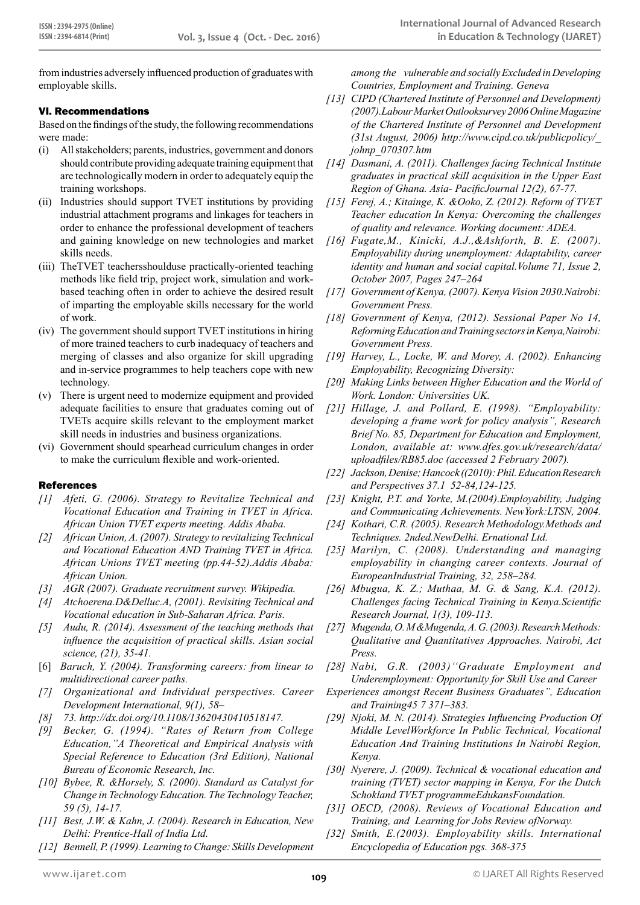from industries adversely influenced production of graduates with employable skills.

# VI. Recommendations

Based on the findings of the study, the following recommendations were made:

- (i) All stakeholders; parents, industries, government and donors should contribute providing adequate training equipment that are technologically modern in order to adequately equip the training workshops.
- (ii) Industries should support TVET institutions by providing industrial attachment programs and linkages for teachers in order to enhance the professional development of teachers and gaining knowledge on new technologies and market skills needs.
- (iii) TheTVET teachersshoulduse practically-oriented teaching methods like field trip, project work, simulation and workbased teaching often in order to achieve the desired result of imparting the employable skills necessary for the world of work.
- (iv) The government should support TVET institutions in hiring of more trained teachers to curb inadequacy of teachers and merging of classes and also organize for skill upgrading and in-service programmes to help teachers cope with new technology.
- (v) There is urgent need to modernize equipment and provided adequate facilities to ensure that graduates coming out of TVETs acquire skills relevant to the employment market skill needs in industries and business organizations.
- (vi) Government should spearhead curriculum changes in order to make the curriculum flexible and work-oriented.

## References

- *[1] Afeti, G. (2006). Strategy to Revitalize Technical and Vocational Education and Training in TVET in Africa. African Union TVET experts meeting. Addis Ababa.*
- *[2] African Union, A. (2007). Strategy to revitalizing Technical and Vocational Education AND Training TVET in Africa. African Unions TVET meeting (pp.44-52).Addis Ababa: African Union.*
- *[3] AGR (2007). Graduate recruitment survey. Wikipedia.*
- *[4] Atchoerena.D&Delluc.A, (2001). Revisiting Technical and Vocational education in Sub-Saharan Africa. Paris.*
- *[5] Audu, R. (2014). Assessment of the teaching methods that influence the acquisition of practical skills. Asian social science, (21), 35-41.*
- [6] *Baruch, Y. (2004). Transforming careers: from linear to multidirectional career paths.*
- *[7] Organizational and Individual perspectives. Career Development International, 9(1), 58–*
- *[8] 73. http://dx.doi.org/10.1108/13620430410518147.*
- *[9] Becker, G. (1994). "Rates of Return from College Education,"A Theoretical and Empirical Analysis with Special Reference to Education (3rd Edition), National Bureau of Economic Research, Inc.*
- *[10] Bybee, R. &Horsely, S. (2000). Standard as Catalyst for Change in Technology Education. The Technology Teacher, 59 (5), 14-17.*
- *[11] Best, J.W. & Kahn, J. (2004). Research in Education, New Delhi: Prentice-Hall of India Ltd.*
- *[12] Bennell, P. (1999). Learning to Change: Skills Development*

*among the vulnerable and socially Excluded in Developing Countries, Employment and Training. Geneva*

- *[13] CIPD (Chartered Institute of Personnel and Development) (2007).Labour Market Outlooksurvey 2006 Online Magazine of the Chartered Institute of Personnel and Development (31st August, 2006) http://www.cipd.co.uk/publicpolicy/\_ johnp\_070307.htm*
- *[14] Dasmani, A. (2011). Challenges facing Technical Institute graduates in practical skill acquisition in the Upper East Region of Ghana. Asia- PacificJournal 12(2), 67-77.*
- *[15] Ferej, A.; Kitainge, K. &Ooko, Z. (2012). Reform of TVET Teacher education In Kenya: Overcoming the challenges of quality and relevance. Working document: ADEA.*
- *[16] Fugate,M., Kinicki, A.J.,&Ashforth, B. E. (2007). Employability during unemployment: Adaptability, career identity and human and social capital.Volume 71, Issue 2, October 2007, Pages 247–264*
- *[17] Government of Kenya, (2007). Kenya Vision 2030.Nairobi: Government Press.*
- *[18] Government of Kenya, (2012). Sessional Paper No 14, Reforming Education and Training sectors in Kenya,Nairobi: Government Press.*
- *[19] Harvey, L., Locke, W. and Morey, A. (2002). Enhancing Employability, Recognizing Diversity:*
- *[20] Making Links between Higher Education and the World of Work. London: Universities UK.*
- *[21] Hillage, J. and Pollard, E. (1998). "Employability: developing a frame work for policy analysis", Research Brief No. 85, Department for Education and Employment, London, available at: www.dfes.gov.uk/research/data/ uploadfiles/RB85.doc (accessed 2 February 2007).*
- *[22] Jackson, Denise; Hancock ((2010): Phil.Education Research and Perspectives 37.1 52-84,124-125.*
- *[23] Knight, P.T. and Yorke, M.(2004).Employability, Judging and Communicating Achievements. NewYork:LTSN, 2004.*
- *[24] Kothari, C.R. (2005). Research Methodology.Methods and Techniques. 2nded.NewDelhi. Ernational Ltd.*
- *[25] Marilyn, C. (2008). Understanding and managing employability in changing career contexts. Journal of EuropeanIndustrial Training, 32, 258–284.*
- *[26] Mbugua, K. Z.; Muthaa, M. G. & Sang, K.A. (2012). Challenges facing Technical Training in Kenya.Scientific Research Journal, 1(3), 109-113.*
- *[27] Mugenda, O. M &Mugenda, A. G. (2003). Research Methods: Qualitative and Quantitatives Approaches. Nairobi, Act Press.*
- *[28] Nabi, G.R. (2003)''Graduate Employment and Underemployment: Opportunity for Skill Use and Career*
- *Experiences amongst Recent Business Graduates'', Education and Training45 7 371–383.*
- *[29] Njoki, M. N. (2014). Strategies Influencing Production Of Middle LevelWorkforce In Public Technical, Vocational Education And Training Institutions In Nairobi Region, Kenya.*
- *[30] Nyerere, J. (2009). Technical & vocational education and training (TVET) sector mapping in Kenya, For the Dutch Schokland TVET programmeEdukansFoundation.*
- *[31] OECD, (2008). Reviews of Vocational Education and Training, and Learning for Jobs Review ofNorway.*
- *[32] Smith, E.(2003). Employability skills. International Encyclopedia of Education pgs. 368-375*